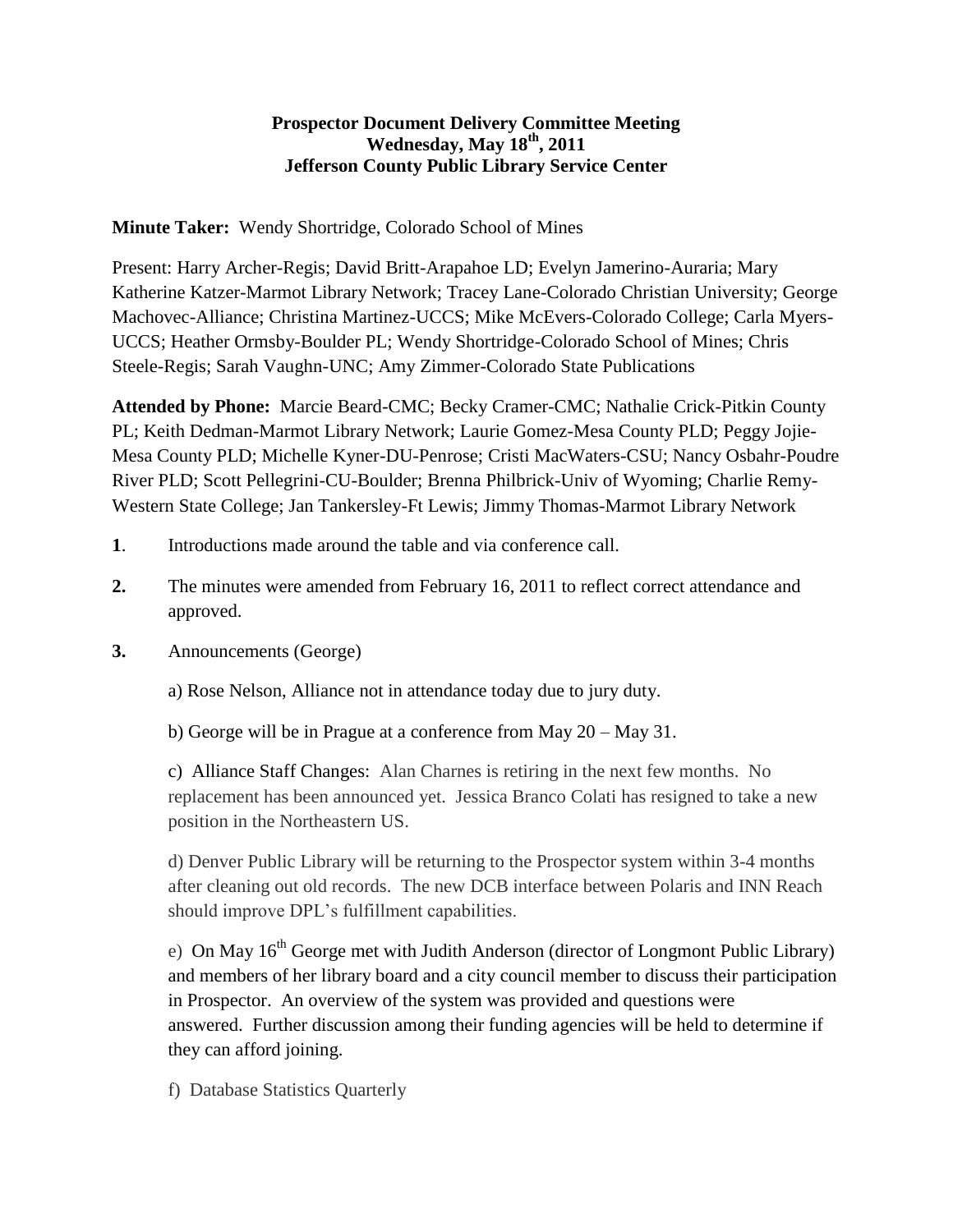## **Prospector Document Delivery Committee Meeting Wednesday, May 18th, 2011 Jefferson County Public Library Service Center**

**Minute Taker:** Wendy Shortridge, Colorado School of Mines

Present: Harry Archer-Regis; David Britt-Arapahoe LD; Evelyn Jamerino-Auraria; Mary Katherine Katzer-Marmot Library Network; Tracey Lane-Colorado Christian University; George Machovec-Alliance; Christina Martinez-UCCS; Mike McEvers-Colorado College; Carla Myers-UCCS; Heather Ormsby-Boulder PL; Wendy Shortridge-Colorado School of Mines; Chris Steele-Regis; Sarah Vaughn-UNC; Amy Zimmer-Colorado State Publications

**Attended by Phone:** Marcie Beard-CMC; Becky Cramer-CMC; Nathalie Crick-Pitkin County PL; Keith Dedman-Marmot Library Network; Laurie Gomez-Mesa County PLD; Peggy Jojie-Mesa County PLD; Michelle Kyner-DU-Penrose; Cristi MacWaters-CSU; Nancy Osbahr-Poudre River PLD; Scott Pellegrini-CU-Boulder; Brenna Philbrick-Univ of Wyoming; Charlie Remy-Western State College; Jan Tankersley-Ft Lewis; Jimmy Thomas-Marmot Library Network

- **1**. Introductions made around the table and via conference call.
- **2.** The minutes were amended from February 16, 2011 to reflect correct attendance and approved.
- **3.** Announcements (George)

a) Rose Nelson, Alliance not in attendance today due to jury duty.

b) George will be in Prague at a conference from May 20 – May 31.

c) Alliance Staff Changes: Alan Charnes is retiring in the next few months. No replacement has been announced yet. Jessica Branco Colati has resigned to take a new position in the Northeastern US.

d) Denver Public Library will be returning to the Prospector system within 3-4 months after cleaning out old records. The new DCB interface between Polaris and INN Reach should improve DPL's fulfillment capabilities.

e) On May  $16<sup>th</sup>$  George met with Judith Anderson (director of Longmont Public Library) and members of her library board and a city council member to discuss their participation in Prospector. An overview of the system was provided and questions were answered. Further discussion among their funding agencies will be held to determine if they can afford joining.

f) Database Statistics Quarterly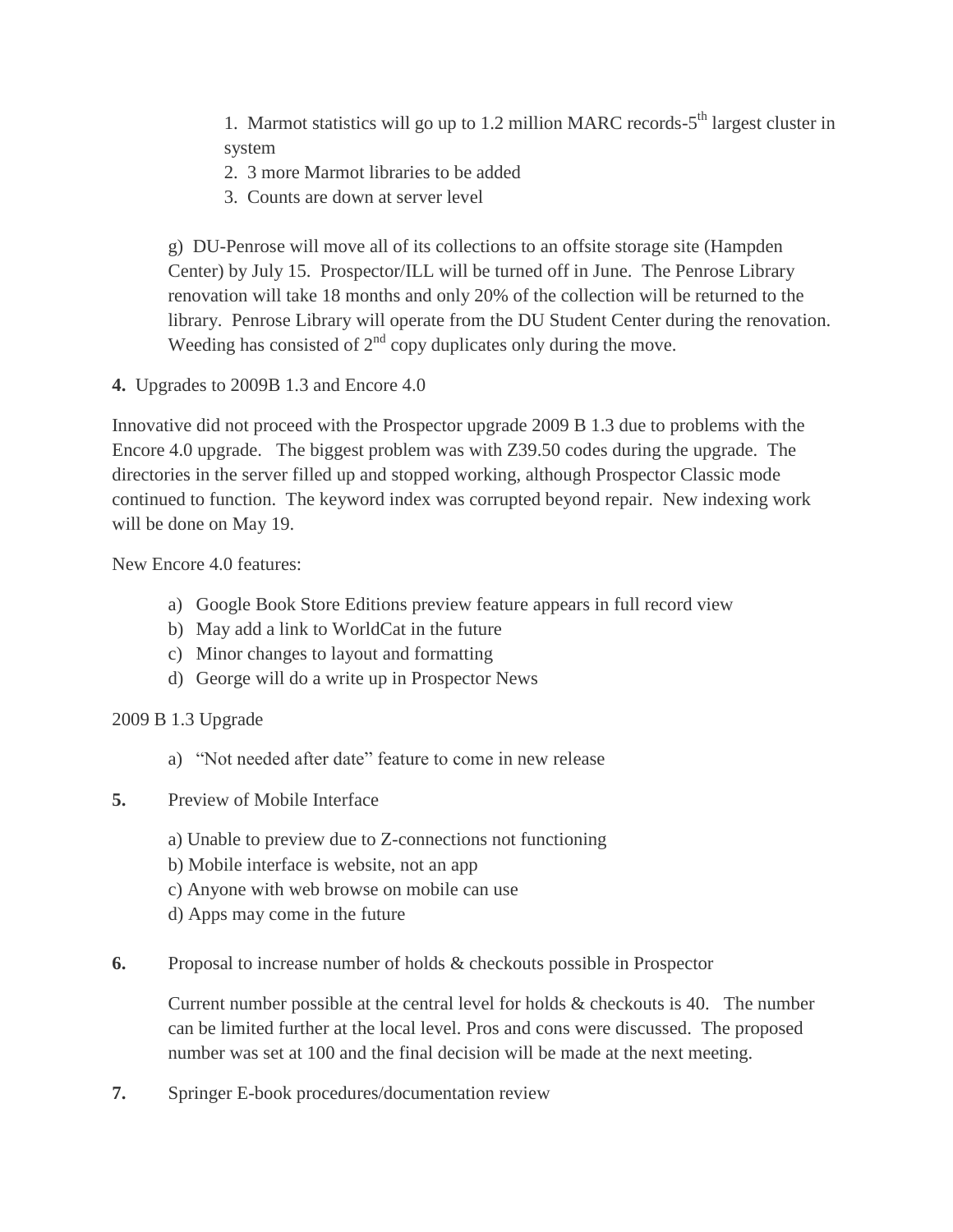1. Marmot statistics will go up to 1.2 million MARC records-5<sup>th</sup> largest cluster in system

2. 3 more Marmot libraries to be added

3. Counts are down at server level

g) DU-Penrose will move all of its collections to an offsite storage site (Hampden Center) by July 15. Prospector/ILL will be turned off in June. The Penrose Library renovation will take 18 months and only 20% of the collection will be returned to the library. Penrose Library will operate from the DU Student Center during the renovation. Weeding has consisted of  $2<sup>nd</sup>$  copy duplicates only during the move.

**4.** Upgrades to 2009B 1.3 and Encore 4.0

Innovative did not proceed with the Prospector upgrade 2009 B 1.3 due to problems with the Encore 4.0 upgrade. The biggest problem was with Z39.50 codes during the upgrade. The directories in the server filled up and stopped working, although Prospector Classic mode continued to function. The keyword index was corrupted beyond repair. New indexing work will be done on May 19.

New Encore 4.0 features:

- a) Google Book Store Editions preview feature appears in full record view
- b) May add a link to WorldCat in the future
- c) Minor changes to layout and formatting
- d) George will do a write up in Prospector News
- 2009 B 1.3 Upgrade
	- a) "Not needed after date" feature to come in new release
- **5.** Preview of Mobile Interface
	- a) Unable to preview due to Z-connections not functioning
	- b) Mobile interface is website, not an app
	- c) Anyone with web browse on mobile can use
	- d) Apps may come in the future
- **6.** Proposal to increase number of holds & checkouts possible in Prospector

Current number possible at the central level for holds  $\&$  checkouts is 40. The number can be limited further at the local level. Pros and cons were discussed. The proposed number was set at 100 and the final decision will be made at the next meeting.

**7.** Springer E-book procedures/documentation review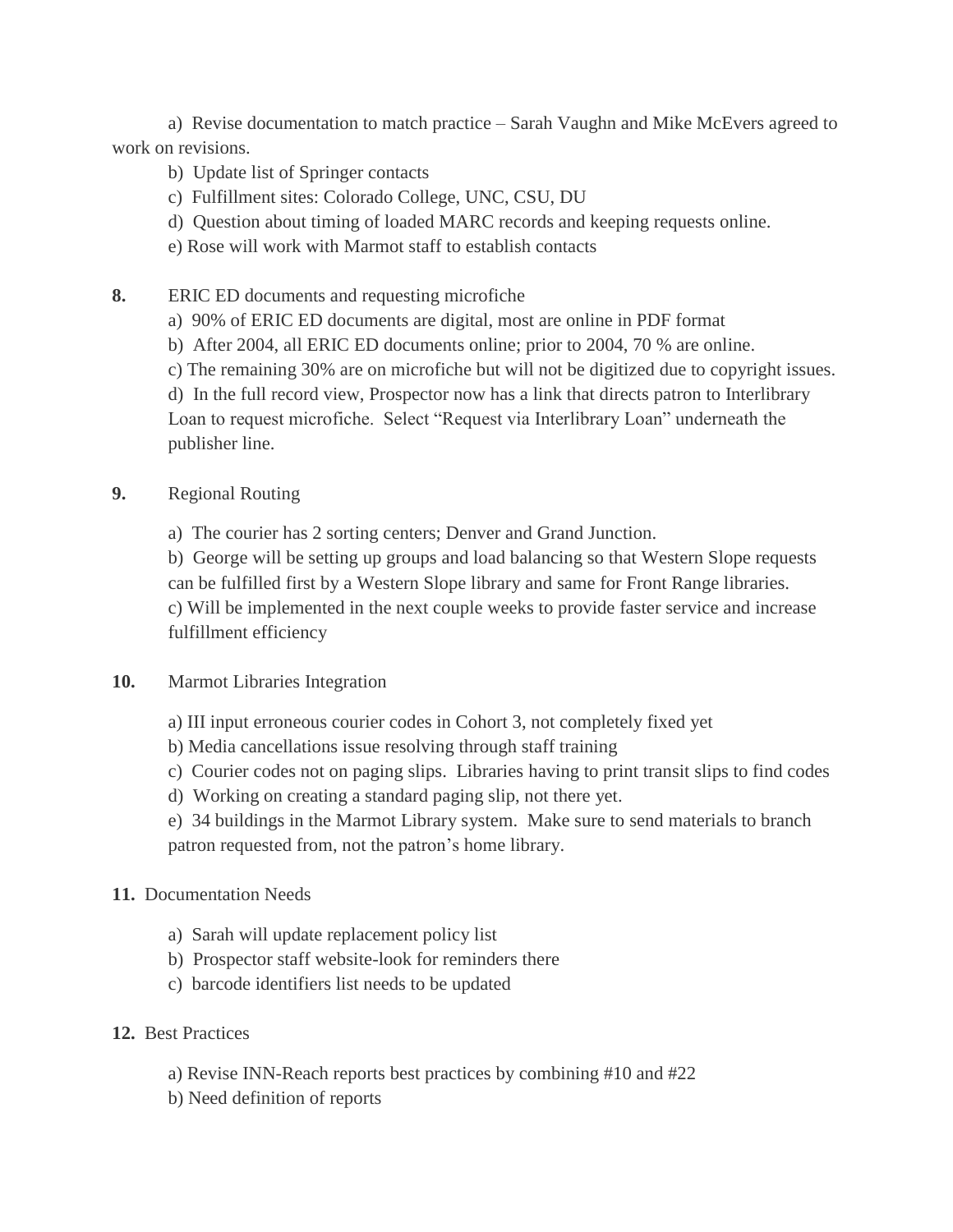a) Revise documentation to match practice – Sarah Vaughn and Mike McEvers agreed to work on revisions.

- b) Update list of Springer contacts
- c) Fulfillment sites: Colorado College, UNC, CSU, DU
- d) Question about timing of loaded MARC records and keeping requests online.
- e) Rose will work with Marmot staff to establish contacts
- **8.** ERIC ED documents and requesting microfiche
	- a) 90% of ERIC ED documents are digital, most are online in PDF format
	- b) After 2004, all ERIC ED documents online; prior to 2004, 70 % are online.
	- c) The remaining 30% are on microfiche but will not be digitized due to copyright issues.

d) In the full record view, Prospector now has a link that directs patron to Interlibrary Loan to request microfiche. Select "Request via Interlibrary Loan" underneath the publisher line.

## **9.** Regional Routing

a) The courier has 2 sorting centers; Denver and Grand Junction.

b) George will be setting up groups and load balancing so that Western Slope requests can be fulfilled first by a Western Slope library and same for Front Range libraries. c) Will be implemented in the next couple weeks to provide faster service and increase fulfillment efficiency

- **10.** Marmot Libraries Integration
	- a) III input erroneous courier codes in Cohort 3, not completely fixed yet
	- b) Media cancellations issue resolving through staff training
	- c) Courier codes not on paging slips. Libraries having to print transit slips to find codes
	- d) Working on creating a standard paging slip, not there yet.
	- e) 34 buildings in the Marmot Library system. Make sure to send materials to branch patron requested from, not the patron's home library.

## **11.** Documentation Needs

- a) Sarah will update replacement policy list
- b) Prospector staff website-look for reminders there
- c) barcode identifiers list needs to be updated
- **12.** Best Practices
	- a) Revise INN-Reach reports best practices by combining #10 and #22
	- b) Need definition of reports